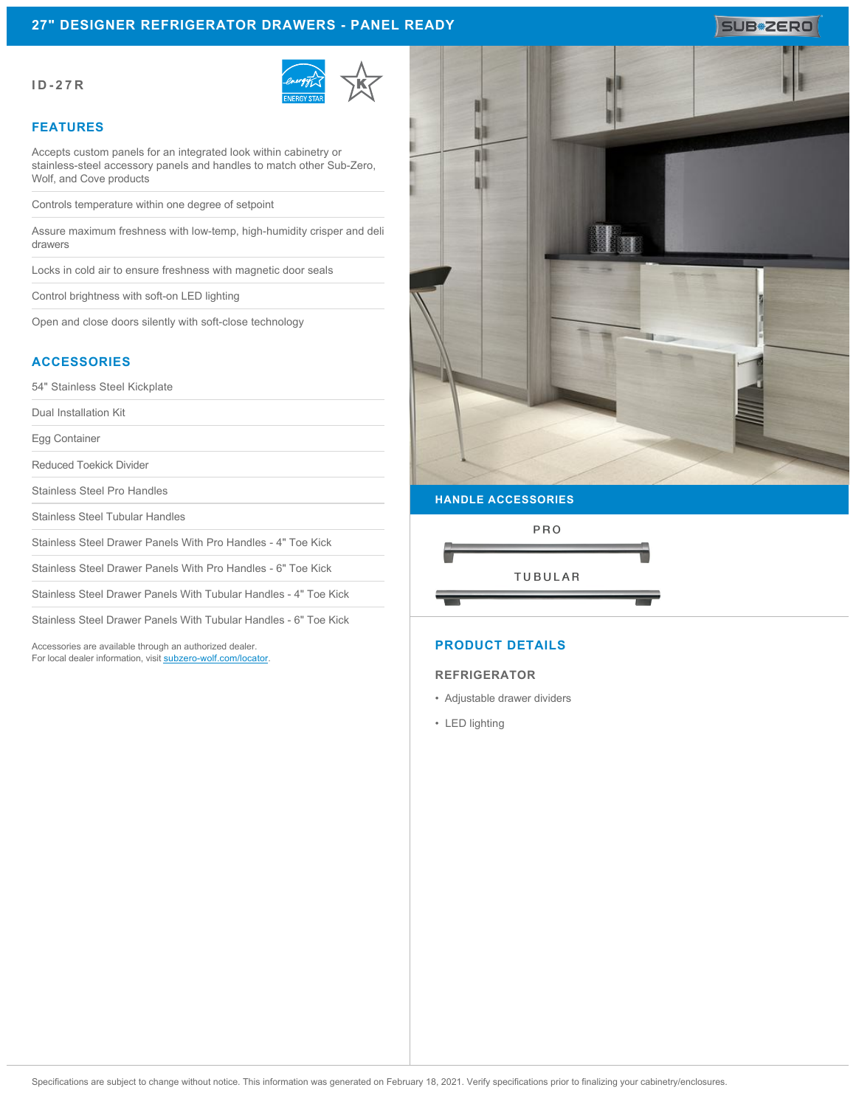## **27" DESIGNER REFRIGERATOR DRAWERS - PANEL READY**

#### **ID-27R**



#### **FEATURES**

Accepts custom panels for an integrated look within cabinetry or stainless-steel accessory panels and handles to match other Sub-Zero, Wolf, and Cove products

Controls temperature within one degree of setpoint

Assure maximum freshness with low-temp, high-humidity crisper and deli drawers

Locks in cold air to ensure freshness with magnetic door seals

Control brightness with soft-on LED lighting

Open and close doors silently with soft-close technology

#### **ACCESSORIES**

54" Stainless Steel Kickplate

Dual Installation Kit

Egg Container

Reduced Toekick Divider

Stainless Steel Pro Handles

Stainless Steel Tubular Handles

Stainless Steel Drawer Panels With Pro Handles - 4" Toe Kick

Stainless Steel Drawer Panels With Pro Handles - 6" Toe Kick

Stainless Steel Drawer Panels With Tubular Handles - 4" Toe Kick

Stainless Steel Drawer Panels With Tubular Handles - 6" Toe Kick

Accessories are available through an authorized dealer. For local dealer information, visit [subzero-wolf.com/locator.](http://www.subzero-wolf.com/locator)



SUB<sup>\*</sup>ZERO

# PRO **TUBULAR**

## **PRODUCT DETAILS**

#### **REFRIGERATOR**

- Adjustable drawer dividers
- LED lighting